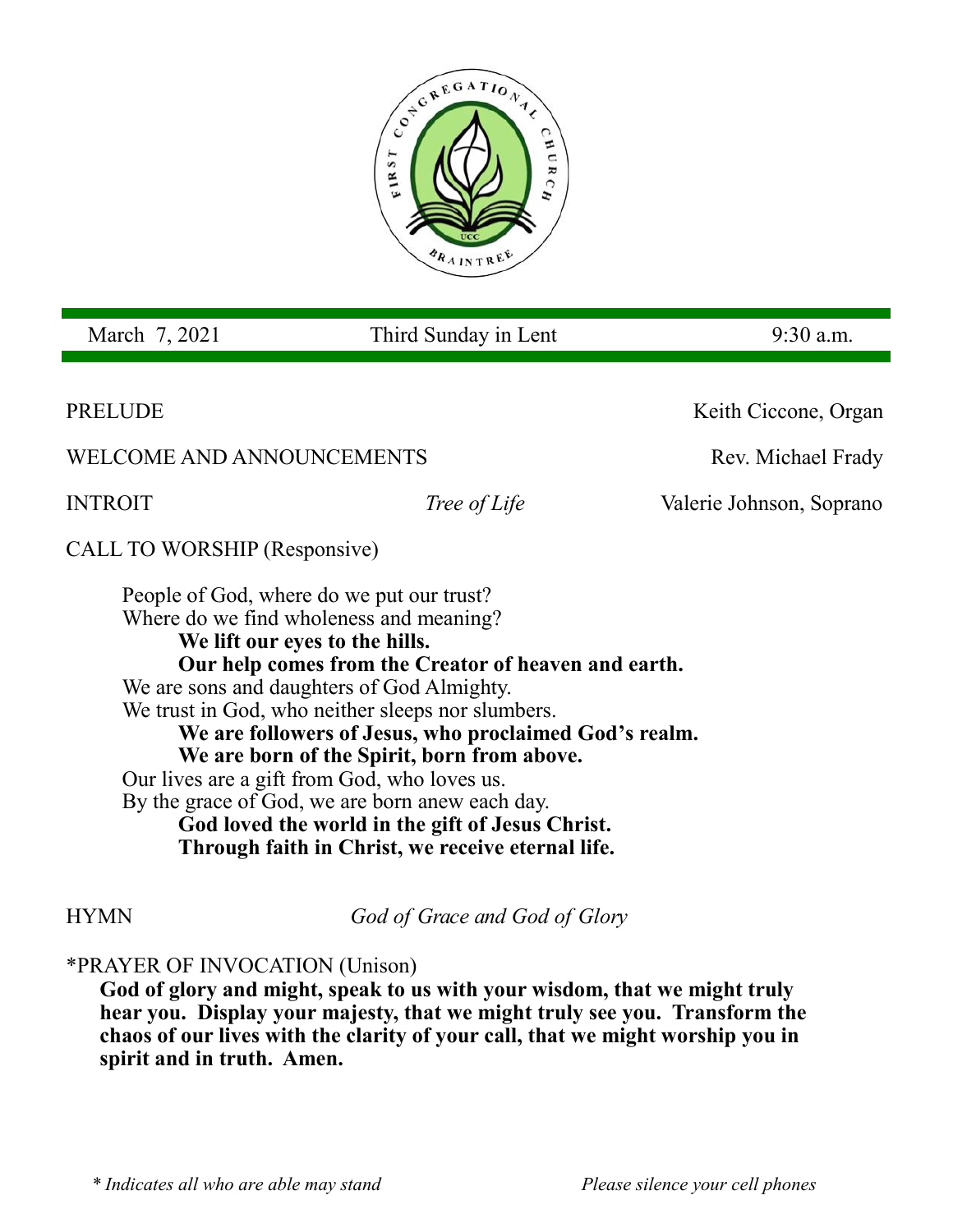

March 7, 2021 Third Sunday in Lent 9:30 a.m.

WELCOME AND ANNOUNCEMENTS Rev. Michael Frady

PRELUDE Keith Ciccone, Organ

**INTROIT** *Tree of Life* Valerie Johnson, Soprano

CALL TO WORSHIP (Responsive)

People of God, where do we put our trust? Where do we find wholeness and meaning? **We lift our eyes to the hills. Our help comes from the Creator of heaven and earth.** We are sons and daughters of God Almighty. We trust in God, who neither sleeps nor slumbers. **We are followers of Jesus, who proclaimed God's realm. We are born of the Spirit, born from above.** Our lives are a gift from God, who loves us. By the grace of God, we are born anew each day. **God loved the world in the gift of Jesus Christ. Through faith in Christ, we receive eternal life.**

HYMN *God of Grace and God of Glory* 

# \*PRAYER OF INVOCATION (Unison)

**God of glory and might, speak to us with your wisdom, that we might truly hear you. Display your majesty, that we might truly see you. Transform the chaos of our lives with the clarity of your call, that we might worship you in spirit and in truth. Amen.**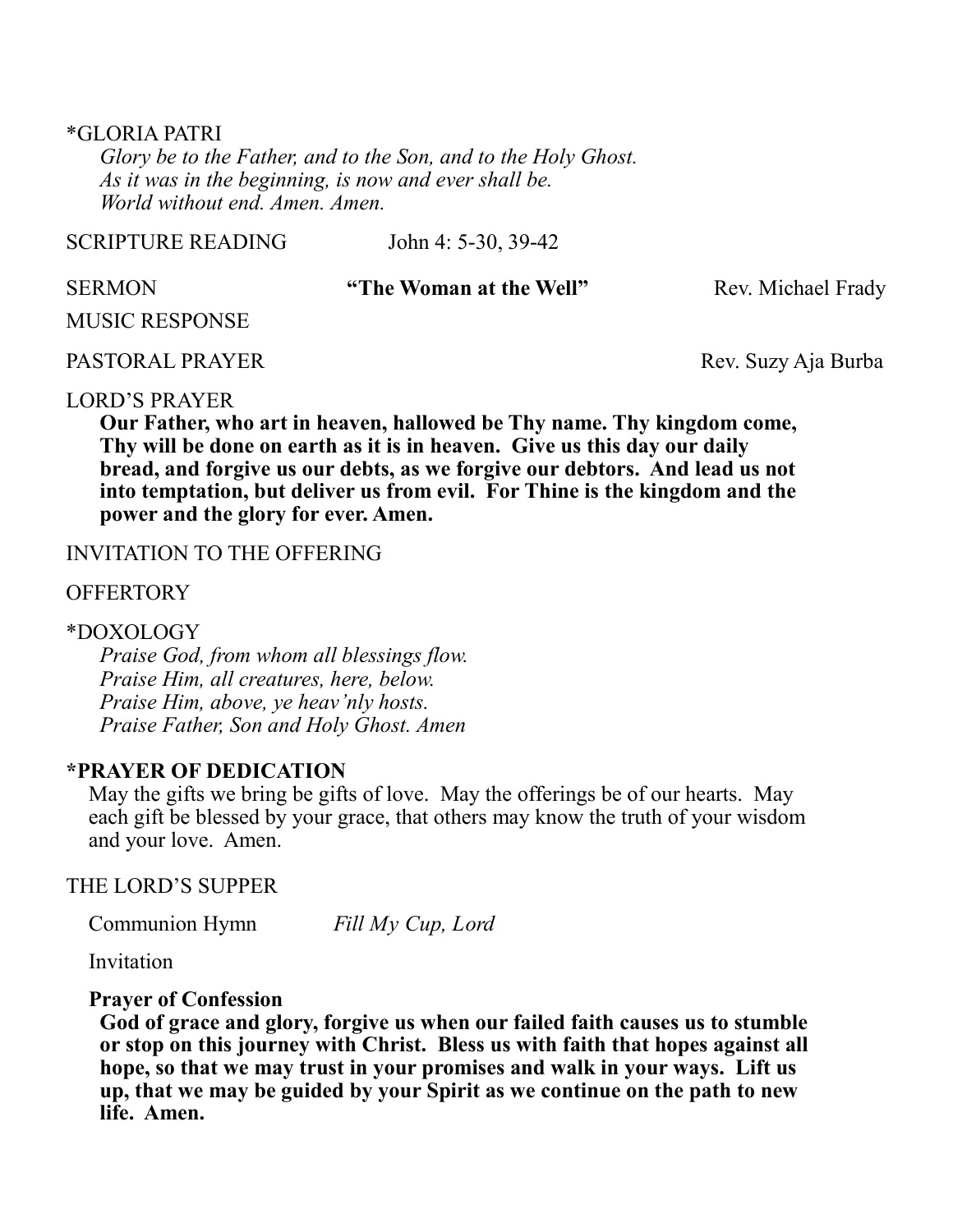## \*GLORIA PATRI

*Glory be to the Father, and to the Son, and to the Holy Ghost. As it was in the beginning, is now and ever shall be. World without end. Amen. Amen.* 

### SCRIPTURE READING John 4: 5-30, 39-42

#### **SERMON "The Woman at the Well"** Rev. Michael Frady

### MUSIC RESPONSE

### PASTORAL PRAYER Rev. Suzy Aja Burba

## LORD'S PRAYER

**Our Father, who art in heaven, hallowed be Thy name. Thy kingdom come, Thy will be done on earth as it is in heaven. Give us this day our daily bread, and forgive us our debts, as we forgive our debtors. And lead us not into temptation, but deliver us from evil. For Thine is the kingdom and the power and the glory for ever. Amen.**

# INVITATION TO THE OFFERING

## **OFFERTORY**

## \*DOXOLOGY

*Praise God, from whom all blessings flow. Praise Him, all creatures, here, below. Praise Him, above, ye heav'nly hosts. Praise Father, Son and Holy Ghost. Amen*

# **\*PRAYER OF DEDICATION**

May the gifts we bring be gifts of love. May the offerings be of our hearts. May each gift be blessed by your grace, that others may know the truth of your wisdom and your love. Amen.

### THE LORD'S SUPPER

Communion Hymn *Fill My Cup, Lord* 

Invitation

### **Prayer of Confession**

**God of grace and glory, forgive us when our failed faith causes us to stumble or stop on this journey with Christ. Bless us with faith that hopes against all hope, so that we may trust in your promises and walk in your ways. Lift us up, that we may be guided by your Spirit as we continue on the path to new life. Amen.**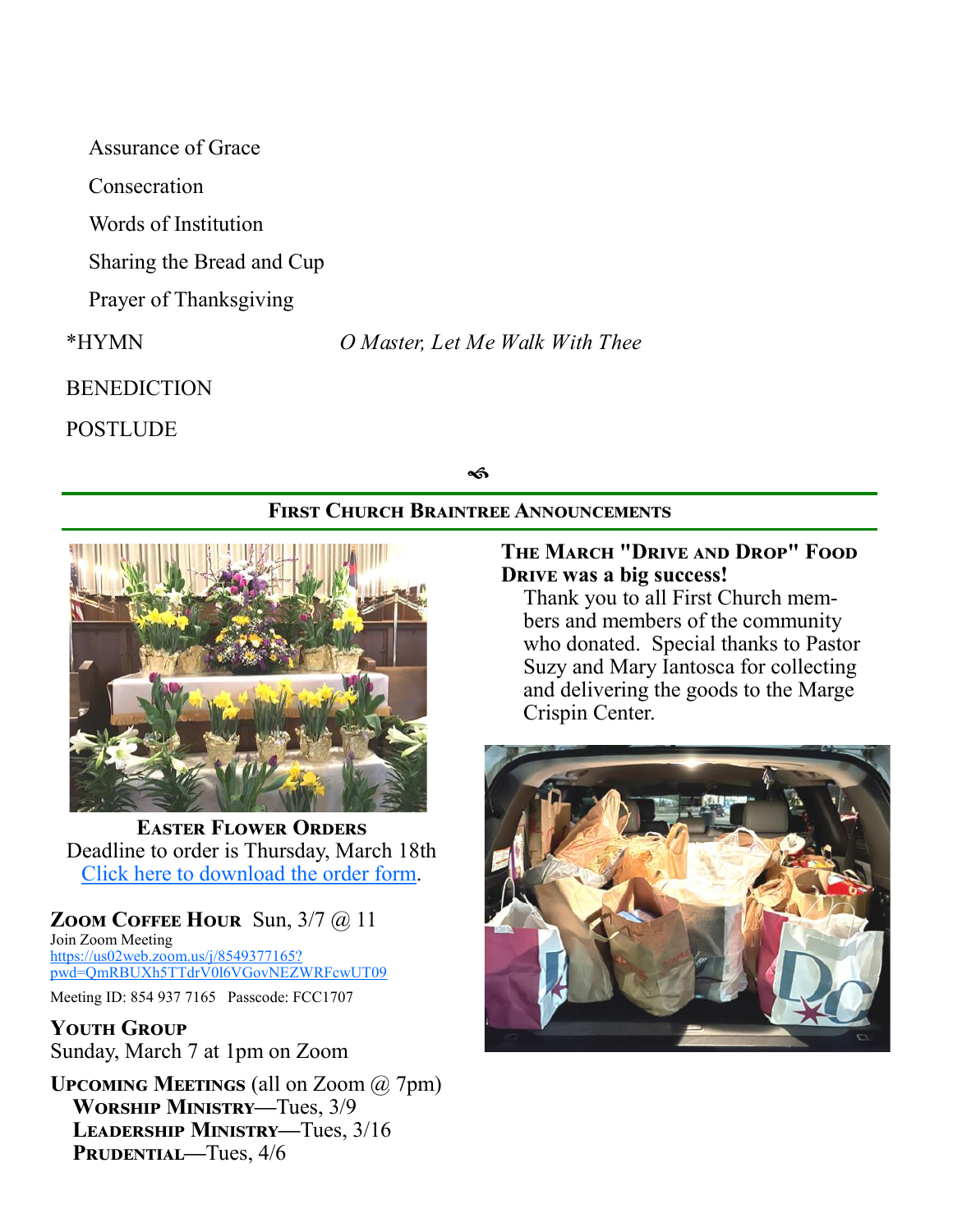Assurance of Grace

**Consecration** 

Words of Institution

Sharing the Bread and Cup

Prayer of Thanksgiving

\*HYMN *O Master, Let Me Walk With Thee* 

**BENEDICTION** 

**POSTLUDE** 

ี่





**Easter Flower Orders**  Deadline to order is Thursday, March 18th [Click here to download the order form.](file:///C:/Users/fccbr/Documents/Flower orders/Easter order form 2021.pdf)

**Zoom Coffee Hour** Sun, 3/7 @ 11 Join Zoom Meeting [https://us02web.zoom.us/j/8549377165?](https://us02web.zoom.us/j/8549377165?pwd=QmRBUXh5TTdrV0l6VGovNEZWRFcwUT09) [pwd=QmRBUXh5TTdrV0l6VGovNEZWRFcwUT09](https://us02web.zoom.us/j/8549377165?pwd=QmRBUXh5TTdrV0l6VGovNEZWRFcwUT09)

Meeting ID: 854 937 7165 Passcode: FCC1707

**Youth Group**  Sunday, March 7 at 1pm on Zoom

**Upcoming Meetings** (all on Zoom @ 7pm) **Worship Ministry—**Tues, 3/9 **Leadership Ministry—**Tues, 3/16 PRUDENTIAL—Tues,  $4/6$ 

## **The March "Drive and Drop" Food Drive was a big success!**

Thank you to all First Church members and members of the community who donated. Special thanks to Pastor Suzy and Mary Iantosca for collecting and delivering the goods to the Marge Crispin Center.